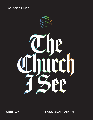**Discussion Guide.** 



WEEK .02 WEEK .07

IS PASSIONATE ABOUT \_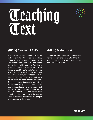



## **(NKJV) Exodus 17:8-13 (NKJV) Malachi 4:6**

Now Amalek came and fought with Israel in Rephidim. And Moses said to Joshua, "Choose us some men and go out, fight with Amalek. Tomorrow I will stand on the top of the hill with the rod of God in my hand." So Joshua did as Moses said to him, and fought with Amalek. And Moses, Aaron, and Hur went up to the top of the hill. And so it was, when Moses held up his hand, that Israel prevailed; and when he let down his hand, Amalek prevailed. But Moses' hands became heavy; so they took a stone and put it under him, and he sat on it. And Aaron and Hur supported his hands, one on one side, and the other on the other side; and his hands were steady until the going down of the sun. So Joshua defeated Amalek and his people with the edge of the sword.

And he will turn the hearts of the fathers to the children, and the hearts of the children to their fathers, lest I come and strike the earth with a curse.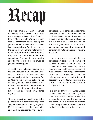

This week Becky Johnson continues the series "**The Church I See**" with the message entitled "The Church I See: Is Generational". We are a church that is passionate about seeing the generations come together and connect in a meaningful way. Our desire is to see the next generation living victoriously in revival, but in order for this to happen they must be connected to the older generation. If we are to be a healthy and thriving church then we must be generationally aligned.

A healthy and effective church is a connected church. We are a divided world: racially, politically, socioeconomically, generationally and the list goes on. But as God's people, we are called to live differently than the world. We are called to walk together. When the generations are connected, they are better, stronger, fulfilled, and accomplish great things together.

The story found in our teaching text is the perfect picture of generational alignment and the generations working together. Moses represents the older generation and Joshua represents the younger

generation. God sends reinforcements to Moses on the hill rather than Joshua on the battlefield. When Moses was out of position, it did not matter what Joshua did with the sword. When generations are not aligned there is no hope for victory. Joshua listened to Moses and considered him to be a voice of wisdom in his life.

If we are going to be a people that are generationally connected, then we need humility. Humility is the precursor to connection in any relationship. Where there is disconnect there is arrogance. It is independence and arrogance that tells us that we do not need each other. The older generation must lead in this and aggressively move towards connection. It is the hearts of the fathers that turn first (Malachi 4:6).

As a church family, we cannot accept disconnection. Generational alignment must be non-negotiable for us. We have an opportunity to name this generation and declare truth over them. Our words matter and plant seeds. We can choose to plant seeds that lead to life and health.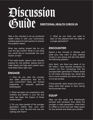# Discussion Guide **EMOTIONAL HEALTH CHECK IN**

Take a few minutes to do an emotional health check in with your Community, creating space for each person to answer the question below:

What has resting looked like for you over the last month? What is one thing you would like to incorporate into your rhythm of rest?

If the need arises, spend a few minutes praying for one another, asking God to meet needs and help each person carry what feels heavy right now.

#### **ENGAGE**

1. How do you view the younger and older generations that are in your community? Have you formed judgments or adopted particular stereotypes?

2. What has been your experience with mothers and fathers in your life and what has been the impact of those relationships?

3. Do you have people of the younger generation (rather than your own children) in your life and how are you walking with them?

4. What do you think you need to learn (in this season) from the older or younger generation?

#### **ENCOUNTER**

Spend a few minutes in stillness and quiet (you may want to play soaking music) in your group and ask Holy Spirit the following question:

Holy Spirit, are there any areas of my life where I have allowed arrogance to prevent me from connecting with the younger/older generation? Please reveal to me those individuals You would like me to move towards and show me what it is to be humble.

If time permits, allow those who want to, share what God spoke to them during the Encounter time.

### **EQUIP**

Step out this week and intentionally connect with someone from either the younger or older generation. Invite them to coffee or lunch and just make space for one another and share your stories.